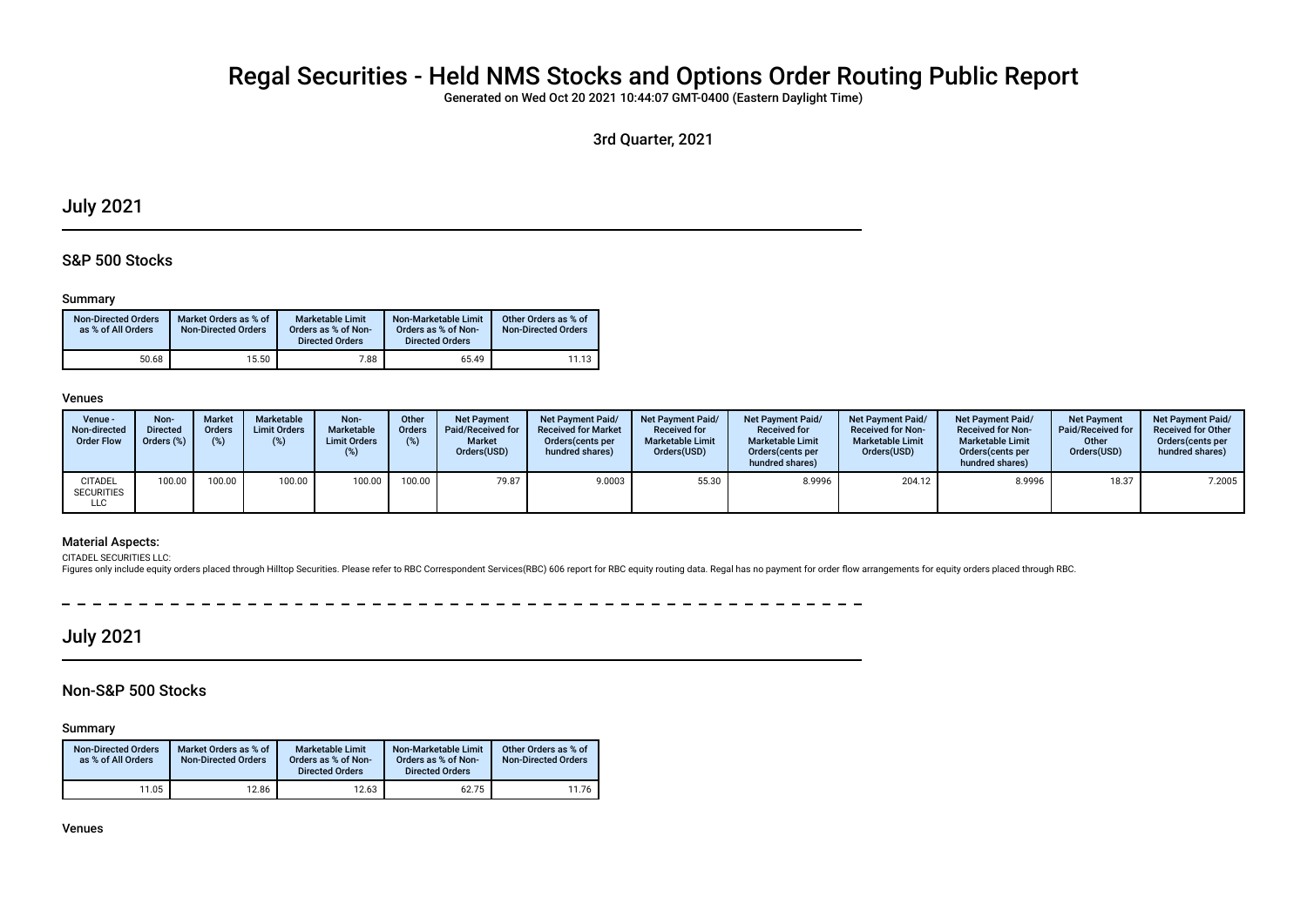# Regal Securities - Held NMS Stocks and Options Order Routing Public Report

Generated on Wed Oct 20 2021 10:44:07 GMT-0400 (Eastern Daylight Time)

3rd Quarter, 2021

## July 2021

### S&P 500 Stocks

#### Summary

| <b>Non-Directed Orders</b><br>as % of All Orders | Market Orders as % of<br><b>Non-Directed Orders</b> | Marketable Limit<br>Orders as % of Non-<br><b>Directed Orders</b> | Non-Marketable Limit<br>Orders as % of Non-<br><b>Directed Orders</b> | Other Orders as % of<br><b>Non-Directed Orders</b> |
|--------------------------------------------------|-----------------------------------------------------|-------------------------------------------------------------------|-----------------------------------------------------------------------|----------------------------------------------------|
| 50.68                                            | 15.50                                               | 7.88                                                              | 65.49                                                                 | 11.13                                              |

#### Venues

| Venue -<br>Non-directed<br><b>Order Flow</b> | Non-<br><b>Directed</b><br>Orders (% | <b>Market</b><br><b>Orders</b> | Marketable<br><b>Limit Orders</b><br>(%) | Non-<br>Marketable<br><b>Limit Orders</b><br>(%) | Other<br><b>Orders</b> | <b>Net Payment</b><br>Paid/Received for<br><b>Market</b><br>Orders(USD) | <b>Net Payment Paid/</b><br><b>Received for Market</b><br>Orders (cents per<br>hundred shares) | <b>Net Payment Paid/</b><br><b>Received for</b><br><b>Marketable Limit</b><br>Orders(USD) | <b>Net Payment Paid/</b><br><b>Received for</b><br><b>Marketable Limit</b><br>Orders (cents per<br>hundred shares) | <b>Net Payment Paid/</b><br><b>Received for Non-</b><br><b>Marketable Limit</b><br>Orders(USD) | <b>Net Payment Paid/</b><br><b>Received for Non-</b><br><b>Marketable Limit</b><br>Orders (cents per<br>hundred shares) | <b>Net Payment</b><br>Paid/Received for<br>Other<br>Orders(USD) | <b>Net Payment Paid/</b><br><b>Received for Other</b><br>Orders(cents per<br>hundred shares) |
|----------------------------------------------|--------------------------------------|--------------------------------|------------------------------------------|--------------------------------------------------|------------------------|-------------------------------------------------------------------------|------------------------------------------------------------------------------------------------|-------------------------------------------------------------------------------------------|--------------------------------------------------------------------------------------------------------------------|------------------------------------------------------------------------------------------------|-------------------------------------------------------------------------------------------------------------------------|-----------------------------------------------------------------|----------------------------------------------------------------------------------------------|
| <b>CITADEL</b><br><b>SECURITIES</b><br>LLC   | 100.00                               | 100.00                         | 100.00                                   | 100.00                                           | 100.00                 | 79.87                                                                   | 9.0003                                                                                         | 55.30                                                                                     | 8.9996                                                                                                             | 204.12                                                                                         | 8.9996                                                                                                                  | 18.37                                                           | 7.2005                                                                                       |

### Material Aspects:

CITADEL SECURITIES LLC:

Figures only include equity orders placed through Hilltop Securities. Please refer to RBC Correspondent Services(RBC) 606 report for RBC equity routing data. Regal has no payment for order flow arrangements for equity orde

 $\overline{\phantom{a}}$  $\sim$ ------------

## July 2021

## Non-S&P 500 Stocks

Summary

| <b>Non-Directed Orders</b><br>as % of All Orders | Market Orders as % of<br><b>Non-Directed Orders</b> | <b>Marketable Limit</b><br>Orders as % of Non-<br><b>Directed Orders</b> | Non-Marketable Limit<br>Orders as % of Non-<br><b>Directed Orders</b> | Other Orders as % of<br><b>Non-Directed Orders</b> |
|--------------------------------------------------|-----------------------------------------------------|--------------------------------------------------------------------------|-----------------------------------------------------------------------|----------------------------------------------------|
| 11.05                                            | 12.86                                               | 12.63                                                                    | 62.75                                                                 | 11.76                                              |

Venues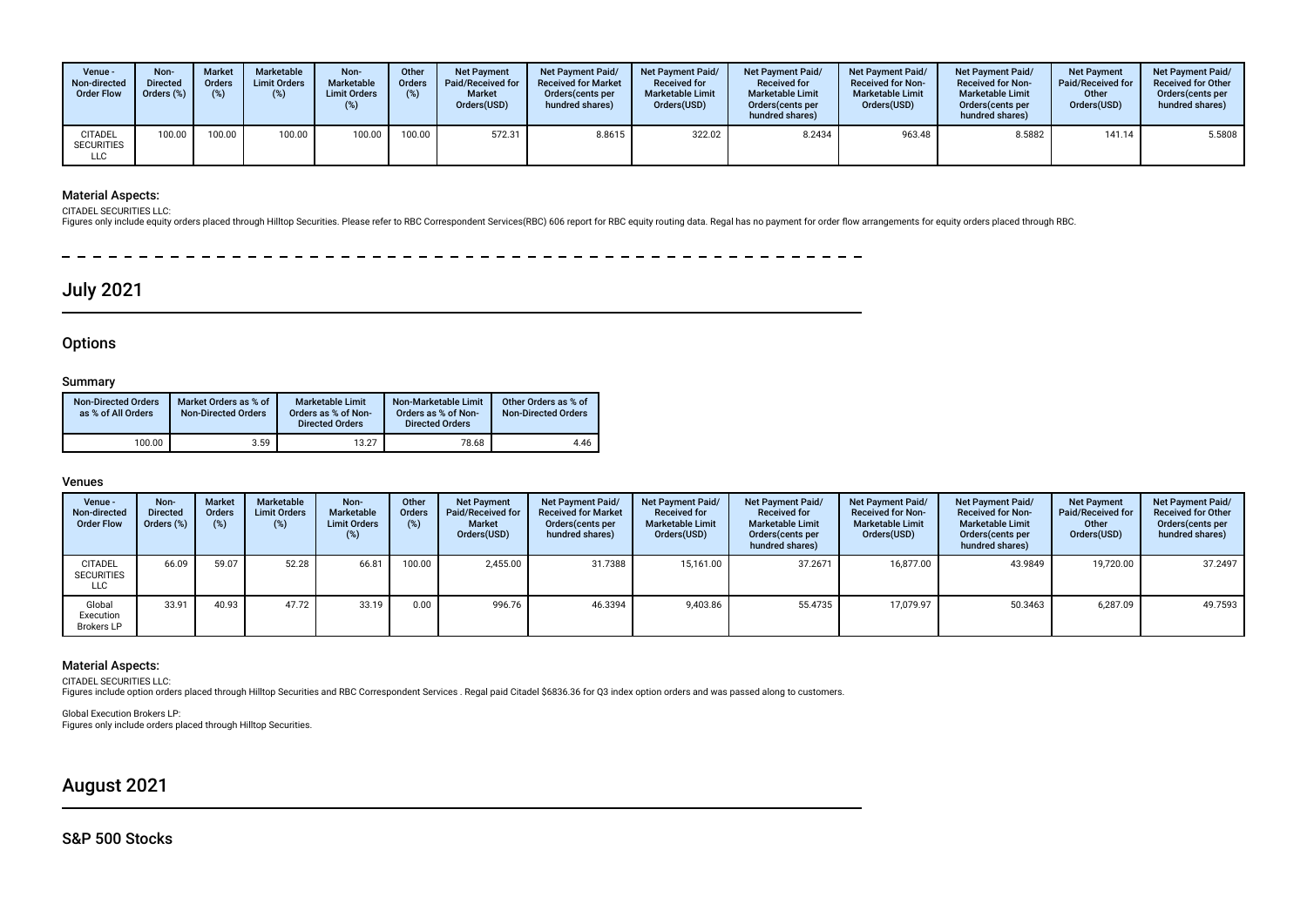| Venue -<br>Non-directed<br><b>Order Flow</b>      | Non-<br><b>Directed</b><br>Orders (%) | <b>Market</b><br><b>Orders</b><br>(%) | Marketable<br><b>Limit Orders</b><br>(%) | Non-<br>Marketable<br><b>Limit Orders</b><br>(%) | Other<br>Orders<br>(%) | <b>Net Payment</b><br><b>Paid/Received for</b><br><b>Market</b><br>Orders(USD) | <b>Net Payment Paid/</b><br><b>Received for Market</b><br>Orders (cents per<br>hundred shares) | <b>Net Payment Paid/</b><br><b>Received for</b><br><b>Marketable Limit</b><br>Orders(USD) | <b>Net Payment Paid/</b><br><b>Received for</b><br><b>Marketable Limit</b><br>Orders (cents per<br>hundred shares) | <b>Net Payment Paid/</b><br><b>Received for Non-</b><br><b>Marketable Limit</b><br>Orders(USD) | <b>Net Payment Paid/</b><br><b>Received for Non-</b><br><b>Marketable Limit</b><br>Orders (cents per<br>hundred shares) | <b>Net Payment</b><br>Paid/Received for<br>Other<br>Orders(USD) | <b>Net Payment Paid/</b><br><b>Received for Other</b><br>Orders(cents per<br>hundred shares) |
|---------------------------------------------------|---------------------------------------|---------------------------------------|------------------------------------------|--------------------------------------------------|------------------------|--------------------------------------------------------------------------------|------------------------------------------------------------------------------------------------|-------------------------------------------------------------------------------------------|--------------------------------------------------------------------------------------------------------------------|------------------------------------------------------------------------------------------------|-------------------------------------------------------------------------------------------------------------------------|-----------------------------------------------------------------|----------------------------------------------------------------------------------------------|
| <b>CITADEL</b><br><b>SECURITIES</b><br><b>LLC</b> | 100.00                                | 100.00                                | 100.00                                   | 100.00                                           | 100.00                 | 572.31                                                                         | 8.8615                                                                                         | 322.02                                                                                    | 8.2434                                                                                                             | 963.48                                                                                         | 8.5882                                                                                                                  | 141.14                                                          | 5.5808                                                                                       |

## Material Aspects:

CITADEL SECURITIES LLC:

Figures only include equity orders placed through Hilltop Securities. Please refer to RBC Correspondent Services(RBC) 606 report for RBC equity routing data. Regal has no payment for order flow arrangements for equity orde

- - - - - - - - - $\overline{\phantom{0}}$ 

## July 2021

## **Options**

### Summary

| <b>Non-Directed Orders</b><br>as % of All Orders | Market Orders as % of<br>Non-Directed Orders | <b>Marketable Limit</b><br>Orders as % of Non-<br><b>Directed Orders</b> | Non-Marketable Limit<br>Orders as % of Non-<br><b>Directed Orders</b> | Other Orders as % of<br><b>Non-Directed Orders</b> |
|--------------------------------------------------|----------------------------------------------|--------------------------------------------------------------------------|-----------------------------------------------------------------------|----------------------------------------------------|
| 100.00                                           | 3.59                                         | 13.27                                                                    | 78.68                                                                 | 4.46                                               |

### Venues

| Venue -<br>Non-directed<br><b>Order Flow</b> | Non-<br><b>Directed</b><br>Orders (%) | <b>Market</b><br><b>Orders</b><br>(%) | Marketable<br><b>Limit Orders</b><br>(%) | Non-<br>Marketable<br><b>Limit Orders</b><br>(%) | Other<br>Orders<br>(%) | <b>Net Payment</b><br>Paid/Received for<br><b>Market</b><br>Orders(USD) | Net Payment Paid/<br><b>Received for Market</b><br>Orders (cents per<br>hundred shares) | Net Payment Paid/<br><b>Received for</b><br><b>Marketable Limit</b><br>Orders(USD) | Net Payment Paid/<br><b>Received for</b><br><b>Marketable Limit</b><br>Orders (cents per<br>hundred shares) | Net Payment Paid/<br><b>Received for Non-</b><br><b>Marketable Limit</b><br>Orders(USD) | <b>Net Payment Paid/</b><br><b>Received for Non-</b><br><b>Marketable Limit</b><br>Orders (cents per<br>hundred shares) | <b>Net Payment</b><br>Paid/Received for<br>Other<br>Orders(USD) | Net Payment Paid/<br><b>Received for Other</b><br>Orders(cents per<br>hundred shares) |
|----------------------------------------------|---------------------------------------|---------------------------------------|------------------------------------------|--------------------------------------------------|------------------------|-------------------------------------------------------------------------|-----------------------------------------------------------------------------------------|------------------------------------------------------------------------------------|-------------------------------------------------------------------------------------------------------------|-----------------------------------------------------------------------------------------|-------------------------------------------------------------------------------------------------------------------------|-----------------------------------------------------------------|---------------------------------------------------------------------------------------|
| <b>CITADEL</b><br><b>SECURITIES</b><br>LLC   | 66.09                                 | 59.07                                 | 52.28                                    | 66.81                                            | 100.00                 | 2,455.00                                                                | 31.7388                                                                                 | 15.161.00                                                                          | 37.2671                                                                                                     | 16.877.00                                                                               | 43.9849                                                                                                                 | 19,720.00                                                       | 37.2497                                                                               |
| Global<br>Execution<br><b>Brokers LP</b>     | 33.91                                 | 40.93                                 | 47.72                                    | 33.19                                            | 0.00                   | 996.76                                                                  | 46.3394                                                                                 | 9,403.86                                                                           | 55.4735                                                                                                     | 17,079.97                                                                               | 50.3463                                                                                                                 | 6,287.09                                                        | 49.7593                                                                               |

#### Material Aspects:

CITADEL SECURITIES LLC:<br>Figures include option orders placed through Hilltop Securities and RBC Correspondent Services . Regal paid Citadel \$6836.36 for Q3 index option orders and was passed along to customers.

Global Execution Brokers LP: Figures only include orders placed through Hilltop Securities.

## August 2021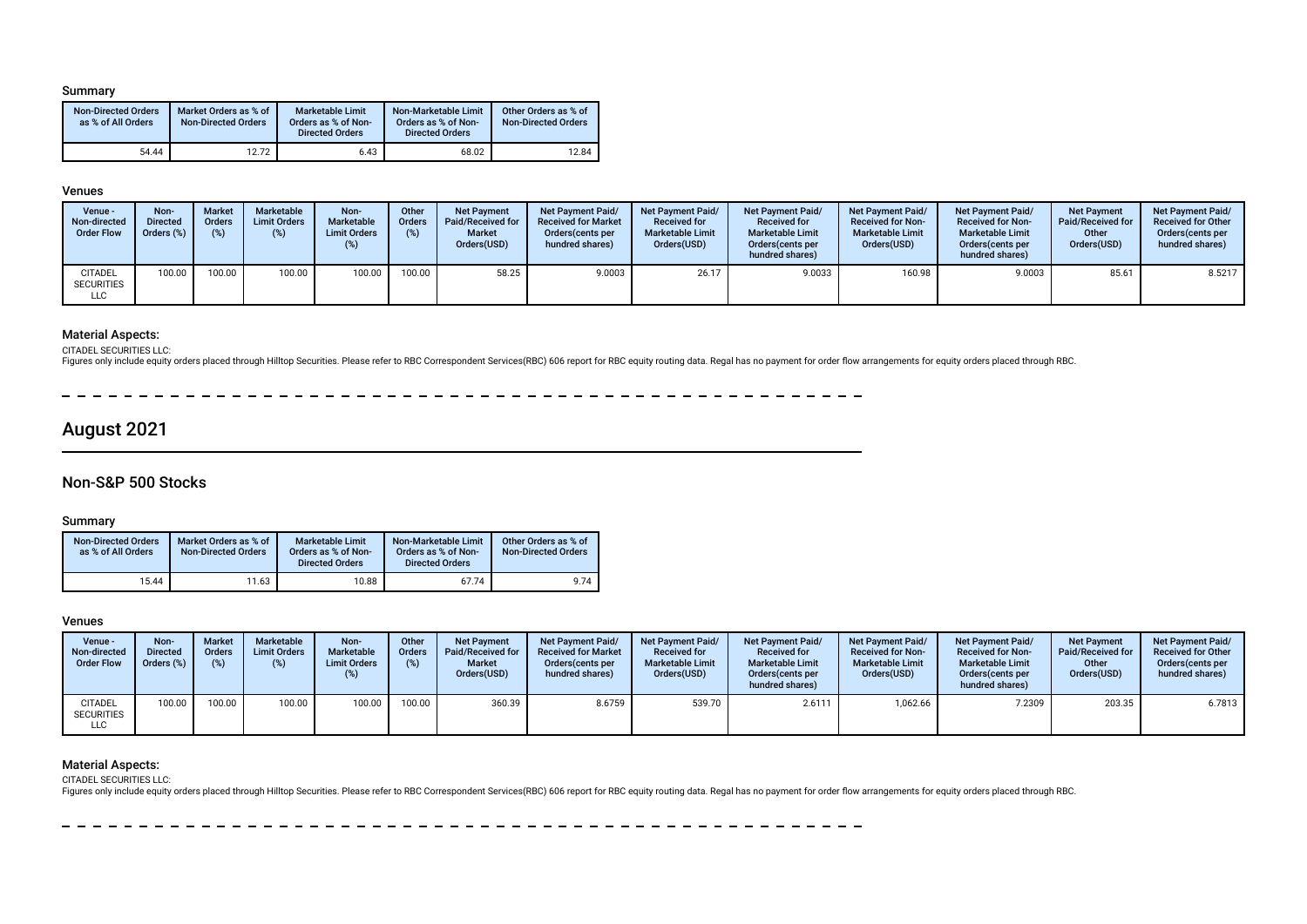#### Summary

| <b>Non-Directed Orders</b><br>as % of All Orders | Market Orders as % of<br><b>Non-Directed Orders</b> | <b>Marketable Limit</b><br>Orders as % of Non-<br><b>Directed Orders</b> | Non-Marketable Limit<br>Orders as % of Non-<br><b>Directed Orders</b> | Other Orders as % of<br><b>Non-Directed Orders</b> |
|--------------------------------------------------|-----------------------------------------------------|--------------------------------------------------------------------------|-----------------------------------------------------------------------|----------------------------------------------------|
| 54.44                                            | 12.72                                               | 6.43                                                                     | 68.02                                                                 | 12.84                                              |

#### Venues

| Venue -<br>Non-directed<br><b>Order Flow</b> | Non-<br><b>Directed</b><br>Orders (%) | <b>Market</b><br><b>Orders</b> | Marketable<br><b>Limit Orders</b> | Non-<br>Marketable<br><b>Limit Orders</b><br>(%) | Other<br><b>Orders</b><br>(%) | <b>Net Payment</b><br>Paid/Received for<br><b>Market</b><br>Orders(USD) | <b>Net Payment Paid/</b><br><b>Received for Market</b><br>Orders (cents per<br>hundred shares) | Net Payment Paid/<br><b>Received for</b><br><b>Marketable Limit</b><br>Orders(USD) | <b>Net Payment Paid/</b><br><b>Received for</b><br><b>Marketable Limit</b><br>Orders(cents per<br>hundred shares) | <b>Net Payment Paid/</b><br><b>Received for Non-</b><br><b>Marketable Limit</b><br>Orders(USD) | <b>Net Payment Paid/</b><br><b>Received for Non-</b><br><b>Marketable Limit</b><br>Orders(cents per<br>hundred shares) | <b>Net Payment</b><br>Paid/Received for<br>Other<br>Orders(USD) | <b>Net Payment Paid/</b><br><b>Received for Other</b><br>Orders(cents per<br>hundred shares) |
|----------------------------------------------|---------------------------------------|--------------------------------|-----------------------------------|--------------------------------------------------|-------------------------------|-------------------------------------------------------------------------|------------------------------------------------------------------------------------------------|------------------------------------------------------------------------------------|-------------------------------------------------------------------------------------------------------------------|------------------------------------------------------------------------------------------------|------------------------------------------------------------------------------------------------------------------------|-----------------------------------------------------------------|----------------------------------------------------------------------------------------------|
| <b>CITADEL</b><br><b>SECURITIES</b><br>LLC   | 100.00                                | 100.00                         | 100.00                            | 100.00                                           | 100.00                        | 58.25                                                                   | 9.0003                                                                                         | 26.17                                                                              | 9.0033                                                                                                            | 160.98                                                                                         | 9.0003                                                                                                                 | 85.61                                                           | 8.5217                                                                                       |

### Material Aspects:

CITADEL SECURITIES LLC:

Figures only include equity orders placed through Hilltop Securities. Please refer to RBC Correspondent Services(RBC) 606 report for RBC equity routing data. Regal has no payment for order flow arrangements for equity orde

 $-$ - -

## August 2021

## Non-S&P 500 Stocks

### Summary

| <b>Non-Directed Orders</b><br>as % of All Orders | Market Orders as % of<br><b>Non-Directed Orders</b> | <b>Marketable Limit</b><br>Orders as % of Non-<br><b>Directed Orders</b> | Non-Marketable Limit<br>Orders as % of Non-<br><b>Directed Orders</b> | Other Orders as % of<br><b>Non-Directed Orders</b> |
|--------------------------------------------------|-----------------------------------------------------|--------------------------------------------------------------------------|-----------------------------------------------------------------------|----------------------------------------------------|
| 15.44                                            | 11.63                                               | 10.88                                                                    | 67.74                                                                 | 9.74                                               |

#### Venues

| Venue -<br>Non-directed<br><b>Order Flow</b> | Non-<br><b>Directed</b><br>Orders (%) | <b>Market</b><br><b>Orders</b><br>(9) | <b>Marketable</b><br><b>Limit Orders</b> | Non-<br>Marketable<br><b>Limit Orders</b><br>$(\%)$ | Other<br><b>Orders</b><br>(%) | <b>Net Payment</b><br>Paid/Received for<br><b>Market</b><br>Orders(USD) | <b>Net Payment Paid/</b><br><b>Received for Market</b><br>Orders (cents per<br>hundred shares) | Net Payment Paid/<br><b>Received for</b><br><b>Marketable Limit</b><br>Orders(USD) | <b>Net Payment Paid/</b><br><b>Received for</b><br><b>Marketable Limit</b><br>Orders (cents per<br>hundred shares) | <b>Net Payment Paid/</b><br><b>Received for Non-</b><br><b>Marketable Limit</b><br>Orders(USD) | <b>Net Payment Paid/</b><br><b>Received for Non-</b><br><b>Marketable Limit</b><br>Orders (cents per<br>hundred shares) | <b>Net Payment</b><br>Paid/Received for<br>Other<br>Orders(USD) | <b>Net Payment Paid/</b><br><b>Received for Other</b><br>Orders (cents per<br>hundred shares) |
|----------------------------------------------|---------------------------------------|---------------------------------------|------------------------------------------|-----------------------------------------------------|-------------------------------|-------------------------------------------------------------------------|------------------------------------------------------------------------------------------------|------------------------------------------------------------------------------------|--------------------------------------------------------------------------------------------------------------------|------------------------------------------------------------------------------------------------|-------------------------------------------------------------------------------------------------------------------------|-----------------------------------------------------------------|-----------------------------------------------------------------------------------------------|
| <b>CITADEL</b><br><b>SECURITIES</b><br>LLC   | 100.00                                | 100.00                                | 100.00                                   | 100.00                                              | 100.00                        | 360.39                                                                  | 8.6759                                                                                         | 539.70                                                                             | 2.6111                                                                                                             | 1,062.66                                                                                       | 7.2309                                                                                                                  | 203.35                                                          | 6.7813                                                                                        |

### Material Aspects:

CITADEL SECURITIES LLC:

Figures only include equity orders placed through Hilltop Securities. Please refer to RBC Correspondent Services(RBC) 606 report for RBC equity routing data. Regal has no payment for order flow arrangements for equity orde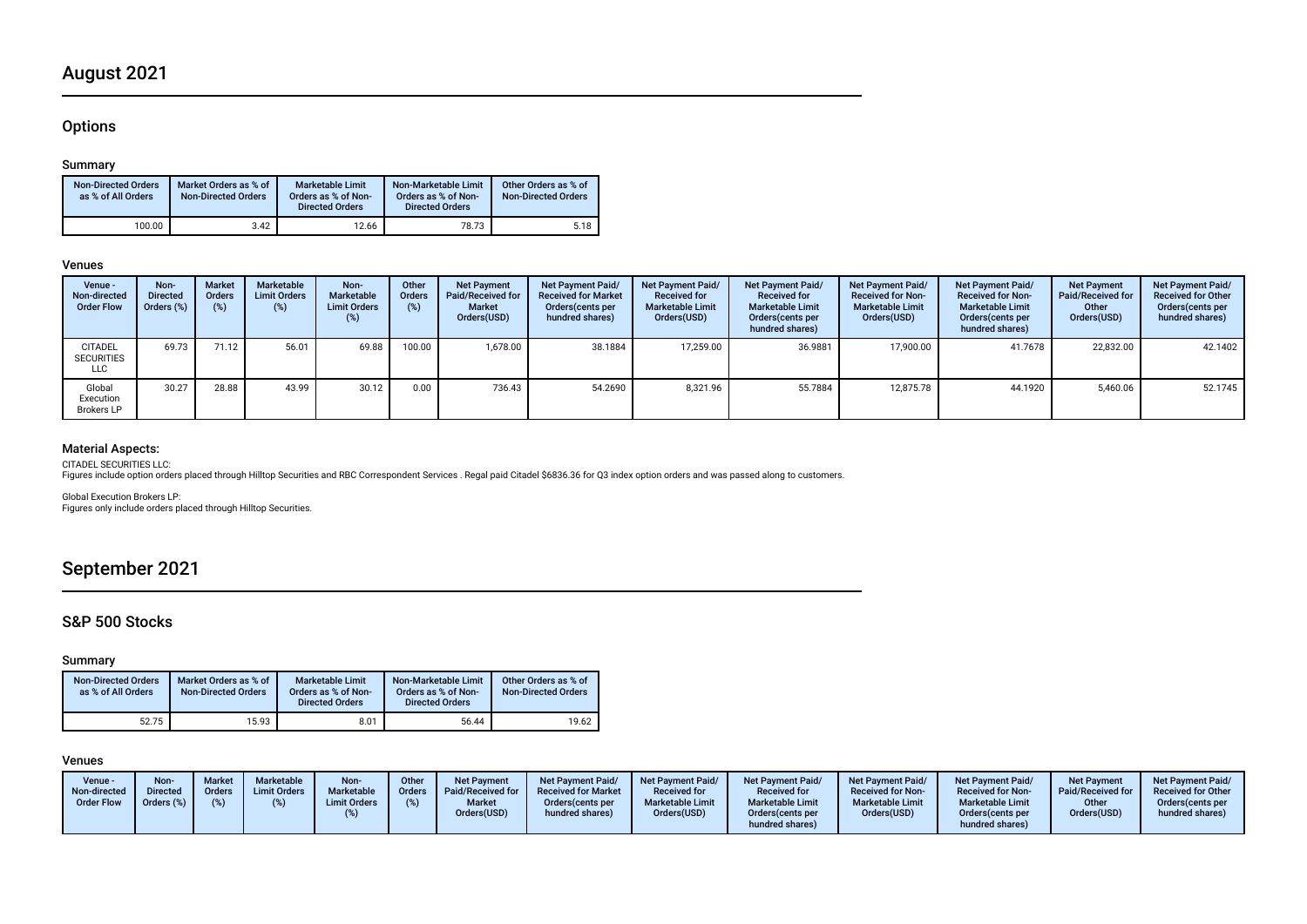## August 2021

## **Options**

### Summary

| <b>Non-Directed Orders</b><br>as % of All Orders | Market Orders as % of<br><b>Non-Directed Orders</b> | <b>Marketable Limit</b><br>Orders as % of Non-<br><b>Directed Orders</b> | Non-Marketable Limit<br>Orders as % of Non-<br><b>Directed Orders</b> | Other Orders as % of<br><b>Non-Directed Orders</b> |
|--------------------------------------------------|-----------------------------------------------------|--------------------------------------------------------------------------|-----------------------------------------------------------------------|----------------------------------------------------|
| 100.00                                           | 3.42                                                | 12.66                                                                    | 78.73                                                                 | 5.18                                               |

#### Venues

| Venue -<br>Non-directed<br><b>Order Flow</b> | Non-<br><b>Directed</b><br>Orders (%) | <b>Market</b><br><b>Orders</b><br>(%) | Marketable<br><b>Limit Orders</b><br>(%) | Non-<br>Marketable<br><b>Limit Orders</b><br>(%) | Other<br><b>Orders</b><br>(%) | <b>Net Payment</b><br><b>Paid/Received for</b><br><b>Market</b><br>Orders(USD) | Net Payment Paid/<br><b>Received for Market</b><br>Orders (cents per<br>hundred shares) | <b>Net Payment Paid/</b><br><b>Received for</b><br><b>Marketable Limit</b><br>Orders(USD) | <b>Net Payment Paid/</b><br><b>Received for</b><br><b>Marketable Limit</b><br>Orders (cents per<br>hundred shares) | Net Payment Paid/<br><b>Received for Non-</b><br><b>Marketable Limit</b><br>Orders(USD) | <b>Net Payment Paid/</b><br><b>Received for Non-</b><br><b>Marketable Limit</b><br>Orders (cents per<br>hundred shares) | <b>Net Payment</b><br><b>Paid/Received for</b><br>Other<br>Orders(USD) | Net Payment Paid/<br><b>Received for Other</b><br>Orders(cents per<br>hundred shares) |
|----------------------------------------------|---------------------------------------|---------------------------------------|------------------------------------------|--------------------------------------------------|-------------------------------|--------------------------------------------------------------------------------|-----------------------------------------------------------------------------------------|-------------------------------------------------------------------------------------------|--------------------------------------------------------------------------------------------------------------------|-----------------------------------------------------------------------------------------|-------------------------------------------------------------------------------------------------------------------------|------------------------------------------------------------------------|---------------------------------------------------------------------------------------|
| <b>CITADEL</b><br><b>SECURITIES</b><br>LLC   | 69.73                                 | 71.12                                 | 56.01                                    | 69.88                                            | 100.00                        | 1.678.00                                                                       | 38.1884                                                                                 | 17.259.00                                                                                 | 36.9881                                                                                                            | 17.900.00                                                                               | 41.7678                                                                                                                 | 22.832.00                                                              | 42.1402                                                                               |
| Global<br>Execution<br><b>Brokers LP</b>     | 30.27                                 | 28.88                                 | 43.99                                    | 30.12                                            | 0.00                          | 736.43                                                                         | 54.2690                                                                                 | 8,321.96                                                                                  | 55.7884                                                                                                            | 12.875.78                                                                               | 44.1920                                                                                                                 | 5,460.06                                                               | 52.1745                                                                               |

## Material Aspects:

CITADEL SECURITIES LLC:

Figures include option orders placed through Hilltop Securities and RBC Correspondent Services . Regal paid Citadel \$6836.36 for Q3 index option orders and was passed along to customers.

Global Execution Brokers LP: Figures only include orders placed through Hilltop Securities.

## September 2021

## S&P 500 Stocks

### Summary

| <b>Non-Directed Orders</b><br>as % of All Orders | Market Orders as % of<br><b>Non-Directed Orders</b> | <b>Marketable Limit</b><br>Orders as % of Non-<br><b>Directed Orders</b> | Non-Marketable Limit<br>Orders as % of Non-<br><b>Directed Orders</b> | Other Orders as % of<br><b>Non-Directed Orders</b> |
|--------------------------------------------------|-----------------------------------------------------|--------------------------------------------------------------------------|-----------------------------------------------------------------------|----------------------------------------------------|
| 52.75                                            | 15.93                                               | 8.01                                                                     | 56.44                                                                 | 19.62                                              |

### Venues

| Venue -<br>Non-directed<br><b>Order Flow</b> | Non-<br><b>Directed</b><br>Orders (%) | <b>Market</b><br>Orders | Marketable<br><b>Limit Orders</b> | Non-<br>Marketable<br><b>Limit Orders</b> | Other<br>Orders | <b>Net Payment</b><br>Paid/Received for<br><b>Market</b><br>Orders(USD) | <b>Net Payment Paid/</b><br><b>Received for Market</b><br>Orders (cents per<br>hundred shares) | <b>Net Payment Paid/</b><br><b>Received for</b><br><b>Marketable Limit</b><br>Orders(USD) | Net Payment Paid/<br><b>Received for</b><br><b>Marketable Limit</b><br>Orders (cents per<br>hundred shares) | <b>Net Payment Paid/</b><br><b>Received for Non-</b><br><b>Marketable Limit</b><br>Orders(USD) | Net Payment Paid/<br><b>Received for Non-</b><br><b>Marketable Limit</b><br>Orders (cents per<br>hundred shares) | <b>Net Payment</b><br>Paid/Received for<br>Other<br>Orders(USD) | <b>Net Payment Paid/</b><br><b>Received for Other</b><br>Orders (cents per<br>hundred shares) |
|----------------------------------------------|---------------------------------------|-------------------------|-----------------------------------|-------------------------------------------|-----------------|-------------------------------------------------------------------------|------------------------------------------------------------------------------------------------|-------------------------------------------------------------------------------------------|-------------------------------------------------------------------------------------------------------------|------------------------------------------------------------------------------------------------|------------------------------------------------------------------------------------------------------------------|-----------------------------------------------------------------|-----------------------------------------------------------------------------------------------|
|----------------------------------------------|---------------------------------------|-------------------------|-----------------------------------|-------------------------------------------|-----------------|-------------------------------------------------------------------------|------------------------------------------------------------------------------------------------|-------------------------------------------------------------------------------------------|-------------------------------------------------------------------------------------------------------------|------------------------------------------------------------------------------------------------|------------------------------------------------------------------------------------------------------------------|-----------------------------------------------------------------|-----------------------------------------------------------------------------------------------|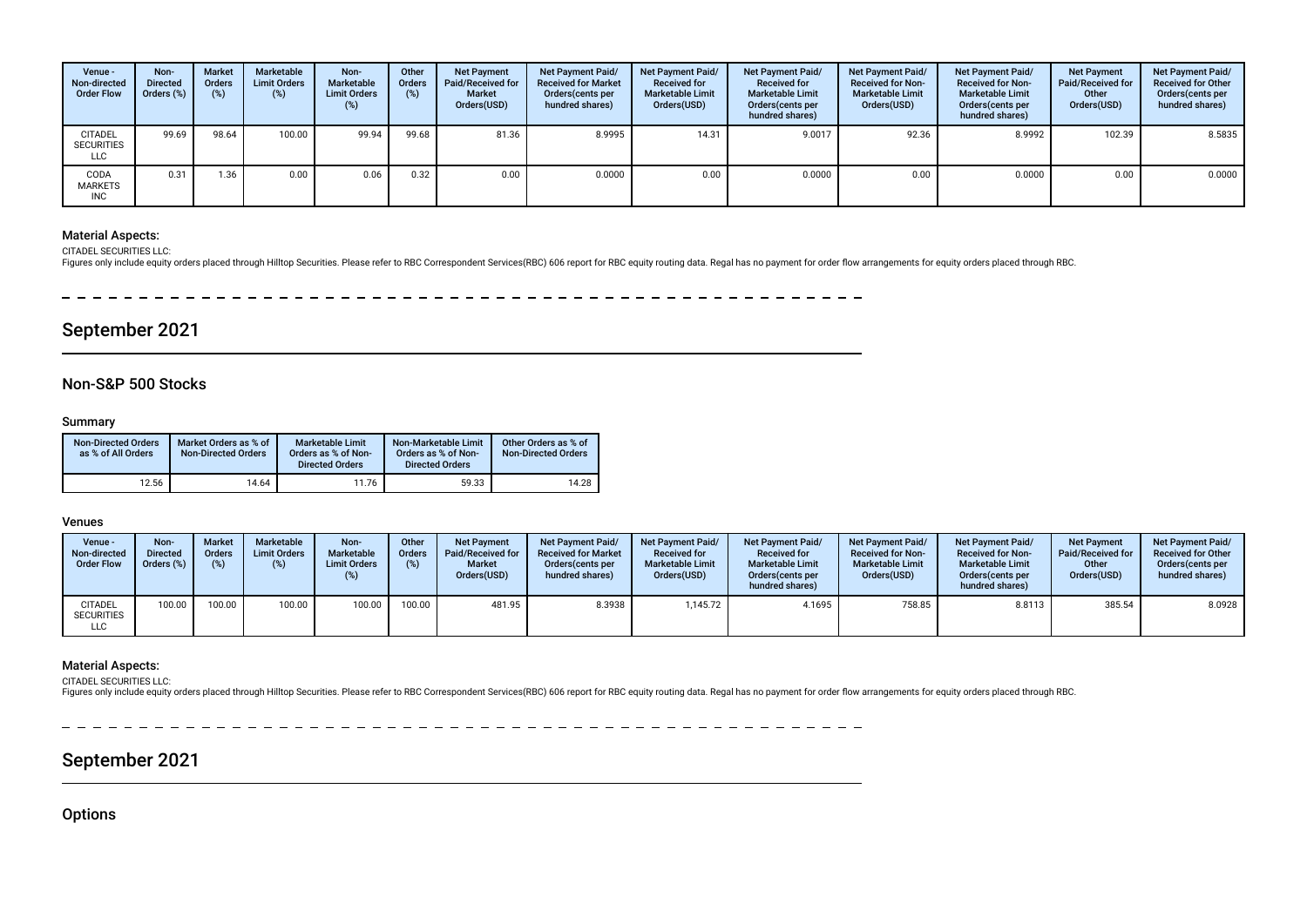| Venue -<br>Non-directed<br><b>Order Flow</b>      | Non-<br><b>Directed</b><br>Orders (%) | <b>Market</b><br><b>Orders</b><br>(%) | Marketable<br><b>Limit Orders</b><br>(%) | Non-<br>Marketable<br><b>Limit Orders</b><br>(%) | Other<br>Orders<br>(%) | <b>Net Payment</b><br>Paid/Received for<br><b>Market</b><br>Orders(USD) | <b>Net Payment Paid/</b><br><b>Received for Market</b><br>Orders (cents per<br>hundred shares) | <b>Net Payment Paid/</b><br><b>Received for</b><br><b>Marketable Limit</b><br>Orders(USD) | Net Payment Paid/<br><b>Received for</b><br><b>Marketable Limit</b><br>Orders(cents per<br>hundred shares) | Net Payment Paid/<br><b>Received for Non-</b><br><b>Marketable Limit</b><br>Orders(USD) | <b>Net Payment Paid/</b><br><b>Received for Non-</b><br><b>Marketable Limit</b><br>Orders (cents per<br>hundred shares) | <b>Net Payment</b><br>Paid/Received for<br>Other<br>Orders(USD) | <b>Net Payment Paid/</b><br><b>Received for Other</b><br>Orders(cents per<br>hundred shares) |
|---------------------------------------------------|---------------------------------------|---------------------------------------|------------------------------------------|--------------------------------------------------|------------------------|-------------------------------------------------------------------------|------------------------------------------------------------------------------------------------|-------------------------------------------------------------------------------------------|------------------------------------------------------------------------------------------------------------|-----------------------------------------------------------------------------------------|-------------------------------------------------------------------------------------------------------------------------|-----------------------------------------------------------------|----------------------------------------------------------------------------------------------|
| <b>CITADEL</b><br><b>SECURITIES</b><br><b>LLC</b> | 99.69                                 | 98.64                                 | 100.00                                   | 99.94                                            | 99.68                  | 81.36                                                                   | 8.9995                                                                                         | 14.31                                                                                     | 9.0017                                                                                                     | 92.36                                                                                   | 8.9992                                                                                                                  | 102.39                                                          | 8.5835                                                                                       |
| CODA<br><b>MARKETS</b><br><b>INC</b>              | 0.31                                  | 1.36                                  | 0.00                                     | 0.06                                             | 0.32                   | 0.00                                                                    | 0.0000                                                                                         | 0.00                                                                                      | 0.0000                                                                                                     | 0.00                                                                                    | 0.0000                                                                                                                  | 0.00                                                            | 0.0000                                                                                       |

### Material Aspects:

CITADEL SECURITIES LLC:

Figures only include equity orders placed through Hilltop Securities. Please refer to RBC Correspondent Services(RBC) 606 report for RBC equity routing data. Regal has no payment for order flow arrangements for equity orde

-------------- $\frac{1}{2} \left( \frac{1}{2} \right) \left( \frac{1}{2} \right) \left( \frac{1}{2} \right) \left( \frac{1}{2} \right) \left( \frac{1}{2} \right) \left( \frac{1}{2} \right) \left( \frac{1}{2} \right) \left( \frac{1}{2} \right) \left( \frac{1}{2} \right) \left( \frac{1}{2} \right) \left( \frac{1}{2} \right) \left( \frac{1}{2} \right) \left( \frac{1}{2} \right) \left( \frac{1}{2} \right) \left( \frac{1}{2} \right) \left( \frac{1}{2} \right) \left( \frac$ 

## September 2021

## Non-S&P 500 Stocks

### Summary

| <b>Non-Directed Orders</b><br>as % of All Orders | Market Orders as % of<br><b>Non-Directed Orders</b> | Marketable Limit<br>Orders as % of Non-<br><b>Directed Orders</b> | Non-Marketable Limit<br>Orders as % of Non-<br><b>Directed Orders</b> | Other Orders as % of<br><b>Non-Directed Orders</b> |
|--------------------------------------------------|-----------------------------------------------------|-------------------------------------------------------------------|-----------------------------------------------------------------------|----------------------------------------------------|
| 12.56                                            | 14.64                                               | 11.76                                                             | 59.33                                                                 | 14.28                                              |

### Venues

| Venue -<br>Non-directed<br><b>Order Flow</b> | Non-<br><b>Directed</b><br>Orders (%) | <b>Market</b><br><b>Orders</b> | Marketable<br><b>Limit Orders</b> | Non-<br>Marketable<br><b>Limit Orders</b><br>(%) | Other<br><b>Orders</b><br>(%) | <b>Net Payment</b><br>Paid/Received for<br><b>Market</b><br>Orders(USD) | <b>Net Payment Paid/</b><br><b>Received for Market</b><br>Orders(cents per<br>hundred shares) | <b>Net Payment Paid/</b><br><b>Received for</b><br><b>Marketable Limit</b><br>Orders(USD) | Net Payment Paid/<br><b>Received for</b><br><b>Marketable Limit</b><br>Orders (cents per<br>hundred shares) | <b>Net Payment Paid/</b><br><b>Received for Non-</b><br><b>Marketable Limit</b><br>Orders(USD) | <b>Net Payment Paid/</b><br><b>Received for Non-</b><br><b>Marketable Limit</b><br>Orders(cents per<br>hundred shares) | <b>Net Payment</b><br>Paid/Received for<br>Other<br>Orders(USD) | <b>Net Payment Paid/</b><br><b>Received for Other</b><br>Orders(cents per<br>hundred shares) |
|----------------------------------------------|---------------------------------------|--------------------------------|-----------------------------------|--------------------------------------------------|-------------------------------|-------------------------------------------------------------------------|-----------------------------------------------------------------------------------------------|-------------------------------------------------------------------------------------------|-------------------------------------------------------------------------------------------------------------|------------------------------------------------------------------------------------------------|------------------------------------------------------------------------------------------------------------------------|-----------------------------------------------------------------|----------------------------------------------------------------------------------------------|
| <b>CITADEL</b><br><b>SECURITIES</b><br>LLC   | 100.00                                | 100.00                         | 100.00                            | 100.00                                           | 100.00                        | 481.95                                                                  | 8.3938                                                                                        | 1,145.72                                                                                  | 4.1695                                                                                                      | 758.85                                                                                         | 8.8113                                                                                                                 | 385.54                                                          | 8.0928                                                                                       |

#### Material Aspects:

CITADEL SECURITIES LLC:<br>Figures only include equity orders placed through Hilltop Securities. Please refer to RBC Correspondent Services(RBC) 606 report for RBC equity routing data. Regal has no payment for order flow arra

## September 2021

**Options**